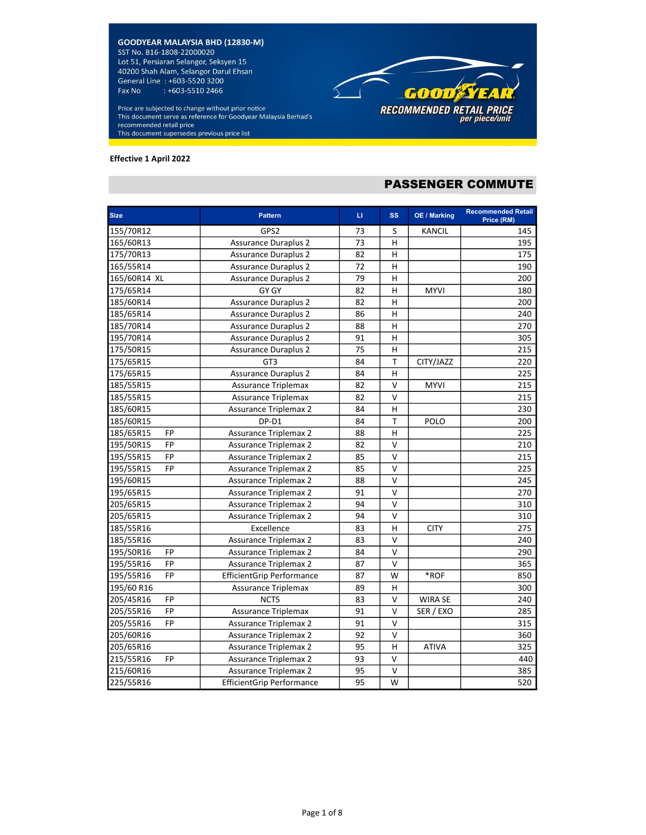Price are subjected to change without prior notice This document serve as reference for Goodyear Malaysia Berhad's recommended retail price This document supersedes previous price list

#### Effective 1 April 2022

# PASSENGER COMMUTE

**GOOD STEAR** 

RECOMMENDED RETAIL PRICE<br>per piece/unit

| <b>Size</b>            | <b>Pattern</b>                   | LI. | <b>SS</b>      | OE / Marking   | <b>Recommended Retail</b><br>Price (RM) |
|------------------------|----------------------------------|-----|----------------|----------------|-----------------------------------------|
| 155/70R12              | GPS2                             | 73  | S              | KANCIL         | 145                                     |
| 165/60R13              | <b>Assurance Duraplus 2</b>      | 73  | H              |                | 195                                     |
| 175/70R13              | <b>Assurance Duraplus 2</b>      | 82  | н              |                | 175                                     |
| 165/55R14              | <b>Assurance Duraplus 2</b>      | 72  | $\overline{H}$ |                | 190                                     |
| 165/60R14 XL           | <b>Assurance Duraplus 2</b>      | 79  | H              |                | 200                                     |
| 175/65R14              | GY GY                            | 82  | н              | <b>MYVI</b>    | 180                                     |
| 185/60R14              | <b>Assurance Duraplus 2</b>      | 82  | Н              |                | 200                                     |
| 185/65R14              | <b>Assurance Duraplus 2</b>      | 86  | н              |                | 240                                     |
| 185/70R14              | <b>Assurance Duraplus 2</b>      | 88  | Н              |                | 270                                     |
| 195/70R14              | <b>Assurance Duraplus 2</b>      | 91  | H              |                | 305                                     |
| 175/50R15              | <b>Assurance Duraplus 2</b>      | 75  | Н              |                | 215                                     |
| 175/65R15              | GT3                              | 84  | T              | CITY/JAZZ      | 220                                     |
| 175/65R15              | <b>Assurance Duraplus 2</b>      | 84  | Η              |                | 225                                     |
| 185/55R15              | <b>Assurance Triplemax</b>       | 82  | V              | <b>MYVI</b>    | 215                                     |
| 185/55R15              | <b>Assurance Triplemax</b>       | 82  | V              |                | 215                                     |
| 185/60R15              | <b>Assurance Triplemax 2</b>     | 84  | $\overline{H}$ |                | 230                                     |
| 185/60R15              | DP-D1                            | 84  | T              | POLO           | 200                                     |
| 185/65R15<br><b>FP</b> | <b>Assurance Triplemax 2</b>     | 88  | H              |                | 225                                     |
| 195/50R15<br><b>FP</b> | <b>Assurance Triplemax 2</b>     | 82  | $\sf V$        |                | 210                                     |
| <b>FP</b><br>195/55R15 | <b>Assurance Triplemax 2</b>     | 85  | V              |                | 215                                     |
| FP<br>195/55R15        | <b>Assurance Triplemax 2</b>     | 85  | $\vee$         |                | 225                                     |
| 195/60R15              | <b>Assurance Triplemax 2</b>     | 88  | $\vee$         |                | 245                                     |
| 195/65R15              | <b>Assurance Triplemax 2</b>     | 91  | $\vee$         |                | 270                                     |
| 205/65R15              | <b>Assurance Triplemax 2</b>     | 94  | V              |                | 310                                     |
| 205/65R15              | <b>Assurance Triplemax 2</b>     | 94  | V              |                | 310                                     |
| 185/55R16              | Excellence                       | 83  | н              | <b>CITY</b>    | 275                                     |
| 185/55R16              | <b>Assurance Triplemax 2</b>     | 83  | V              |                | 240                                     |
| <b>FP</b><br>195/50R16 | <b>Assurance Triplemax 2</b>     | 84  | $\vee$         |                | 290                                     |
| 195/55R16<br><b>FP</b> | <b>Assurance Triplemax 2</b>     | 87  | V              |                | 365                                     |
| <b>FP</b><br>195/55R16 | <b>EfficientGrip Performance</b> | 87  | W              | *ROF           | 850                                     |
| 195/60 R16             | <b>Assurance Triplemax</b>       | 89  | н              |                | 300                                     |
| 205/45R16<br><b>FP</b> | NCT5                             | 83  | V              | <b>WIRA SE</b> | 240                                     |
| 205/55R16<br><b>FP</b> | <b>Assurance Triplemax</b>       | 91  | V              | SER / EXO      | 285                                     |
| <b>FP</b><br>205/55R16 | <b>Assurance Triplemax 2</b>     | 91  | V              |                | 315                                     |
| 205/60R16              | <b>Assurance Triplemax 2</b>     | 92  | $\vee$         |                | 360                                     |
| 205/65R16              | <b>Assurance Triplemax 2</b>     | 95  | Н              | <b>ATIVA</b>   | 325                                     |
| 215/55R16<br><b>FP</b> | <b>Assurance Triplemax 2</b>     | 93  | v              |                | 440                                     |
| 215/60R16              | <b>Assurance Triplemax 2</b>     | 95  | V              |                | 385                                     |
| 225/55R16              | <b>EfficientGrip Performance</b> | 95  | W              |                | 520                                     |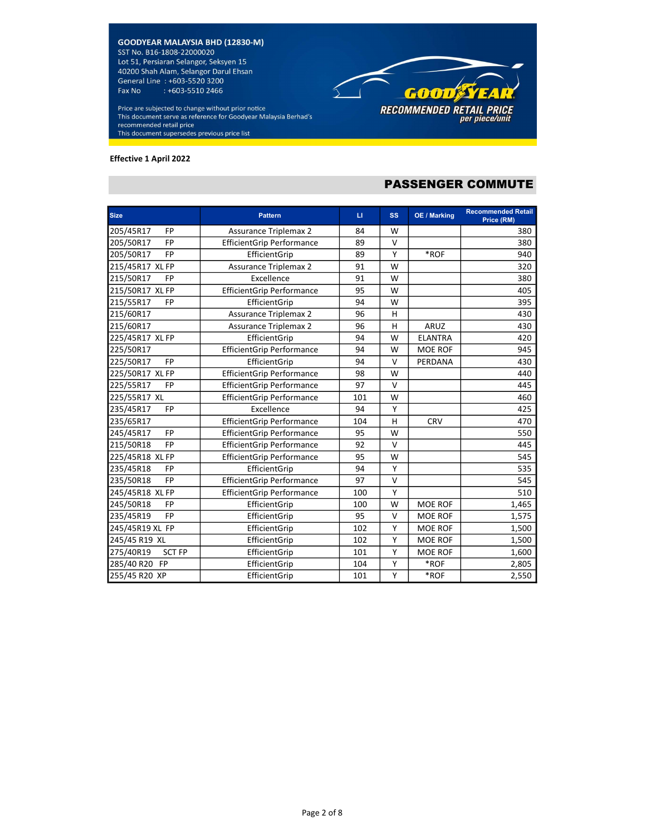Price are subjected to change without prior notice This document serve as reference for Goodyear Malaysia Berhad's recommended retail price This document supersedes previous price list

#### Effective 1 April 2022



# PASSENGER COMMUTE

| <b>Size</b>                | <b>Pattern</b>                   | $\sqcup$ | <b>SS</b> | <b>OE / Marking</b> | <b>Recommended Retail</b><br>Price (RM) |
|----------------------------|----------------------------------|----------|-----------|---------------------|-----------------------------------------|
| 205/45R17<br><b>FP</b>     | <b>Assurance Triplemax 2</b>     | 84       | W         |                     | 380                                     |
| <b>FP</b><br>205/50R17     | <b>EfficientGrip Performance</b> | 89       | v         |                     | 380                                     |
| <b>FP</b><br>205/50R17     | EfficientGrip                    | 89       | Υ         | *ROF                | 940                                     |
| 215/45R17 XL FP            | <b>Assurance Triplemax 2</b>     | 91       | W         |                     | 320                                     |
| 215/50R17<br><b>FP</b>     | Excellence                       | 91       | W         |                     | 380                                     |
| 215/50R17 XL FP            | <b>EfficientGrip Performance</b> | 95       | W         |                     | 405                                     |
| 215/55R17<br>FP            | EfficientGrip                    | 94       | W         |                     | 395                                     |
| 215/60R17                  | <b>Assurance Triplemax 2</b>     | 96       | H         |                     | 430                                     |
| 215/60R17                  | <b>Assurance Triplemax 2</b>     | 96       | н         | ARUZ                | 430                                     |
| 225/45R17 XL FP            | EfficientGrip                    | 94       | W         | <b>ELANTRA</b>      | 420                                     |
| 225/50R17                  | <b>EfficientGrip Performance</b> | 94       | W         | <b>MOE ROF</b>      | 945                                     |
| <b>FP</b><br>225/50R17     | EfficientGrip                    | 94       | v         | PERDANA             | 430                                     |
| 225/50R17 XL FP            | <b>EfficientGrip Performance</b> | 98       | W         |                     | 440                                     |
| 225/55R17<br><b>FP</b>     | <b>EfficientGrip Performance</b> | 97       | $\vee$    |                     | 445                                     |
| 225/55R17 XL               | <b>EfficientGrip Performance</b> | 101      | W         |                     | 460                                     |
| <b>FP</b><br>235/45R17     | Excellence                       | 94       | Υ         |                     | 425                                     |
| 235/65R17                  | <b>EfficientGrip Performance</b> | 104      | H         | CRV                 | 470                                     |
| <b>FP</b><br>245/45R17     | <b>EfficientGrip Performance</b> | 95       | W         |                     | 550                                     |
| FP<br>215/50R18            | <b>EfficientGrip Performance</b> | 92       | $\vee$    |                     | 445                                     |
| 225/45R18 XL FP            | <b>EfficientGrip Performance</b> | 95       | W         |                     | 545                                     |
| 235/45R18<br><b>FP</b>     | EfficientGrip                    | 94       | Y         |                     | 535                                     |
| 235/50R18<br>FP            | <b>EfficientGrip Performance</b> | 97       | $\vee$    |                     | 545                                     |
| 245/45R18 XL FP            | <b>EfficientGrip Performance</b> | 100      | Υ         |                     | 510                                     |
| 245/50R18<br><b>FP</b>     | EfficientGrip                    | 100      | W         | <b>MOE ROF</b>      | 1,465                                   |
| <b>FP</b><br>235/45R19     | EfficientGrip                    | 95       | $\vee$    | <b>MOE ROF</b>      | 1,575                                   |
| 245/45R19 XL FP            | EfficientGrip                    | 102      | Υ         | <b>MOE ROF</b>      | 1,500                                   |
| 245/45 R19 XL              | EfficientGrip                    | 102      | Y         | <b>MOE ROF</b>      | 1,500                                   |
| 275/40R19<br><b>SCT FP</b> | EfficientGrip                    | 101      | Υ         | <b>MOE ROF</b>      | 1,600                                   |
| 285/40 R20 FP              | EfficientGrip                    | 104      | Υ         | *ROF                | 2,805                                   |
| 255/45 R20 XP              | EfficientGrip                    | 101      | Υ         | $*ROF$              | 2,550                                   |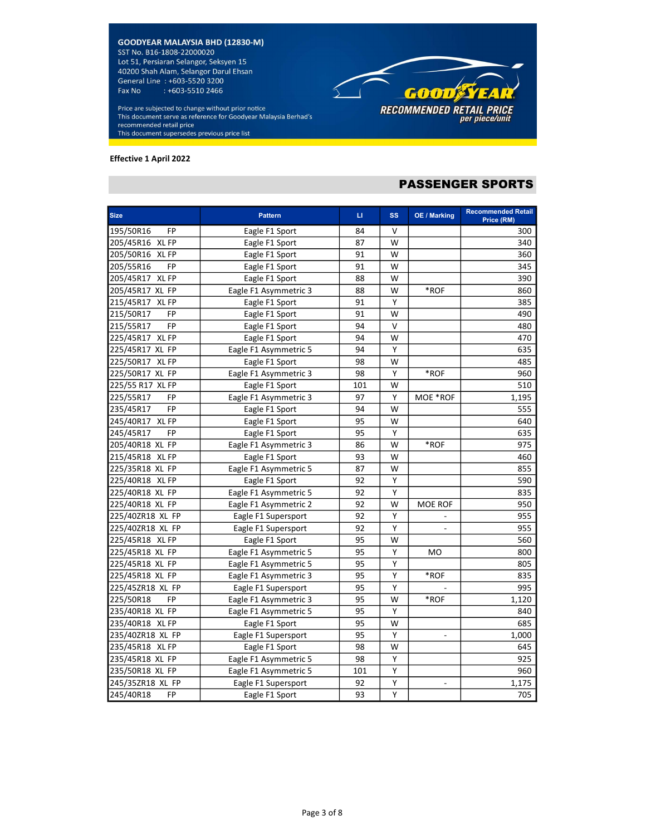Price are subjected to change without prior notice This document serve as reference for Goodyear Malaysia Berhad's recommended retail price This document supersedes previous price list

#### Effective 1 April 2022



# PASSENGER SPORTS

| <b>Size</b>            | <b>Pattern</b>        | u   | <b>SS</b> | OE / Marking             | <b>Recommended Retail</b><br>Price (RM) |
|------------------------|-----------------------|-----|-----------|--------------------------|-----------------------------------------|
| 195/50R16<br><b>FP</b> | Eagle F1 Sport        | 84  | v         |                          | 300                                     |
| 205/45R16 XL FP        | Eagle F1 Sport        | 87  | W         |                          | 340                                     |
| 205/50R16 XL FP        | Eagle F1 Sport        | 91  | W         |                          | 360                                     |
| 205/55R16<br><b>FP</b> | Eagle F1 Sport        | 91  | W         |                          | 345                                     |
| 205/45R17 XL FP        | Eagle F1 Sport        | 88  | W         |                          | 390                                     |
| 205/45R17 XL FP        | Eagle F1 Asymmetric 3 | 88  | W         | *ROF                     | 860                                     |
| 215/45R17 XL FP        | Eagle F1 Sport        | 91  | Υ         |                          | 385                                     |
| 215/50R17<br>FP        | Eagle F1 Sport        | 91  | W         |                          | 490                                     |
| 215/55R17<br><b>FP</b> | Eagle F1 Sport        | 94  | V         |                          | 480                                     |
| 225/45R17<br>XL FP     | Eagle F1 Sport        | 94  | W         |                          | 470                                     |
| 225/45R17 XL FP        | Eagle F1 Asymmetric 5 | 94  | Υ         |                          | 635                                     |
| 225/50R17 XL FP        | Eagle F1 Sport        | 98  | W         |                          | 485                                     |
| 225/50R17 XL FP        | Eagle F1 Asymmetric 3 | 98  | Υ         | $*ROF$                   | 960                                     |
| 225/55 R17 XL FP       | Eagle F1 Sport        | 101 | W         |                          | 510                                     |
| 225/55R17<br><b>FP</b> | Eagle F1 Asymmetric 3 | 97  | Υ         | MOE *ROF                 | 1,195                                   |
| 235/45R17<br><b>FP</b> | Eagle F1 Sport        | 94  | W         |                          | 555                                     |
| 245/40R17 XL FP        | Eagle F1 Sport        | 95  | W         |                          | 640                                     |
| 245/45R17<br><b>FP</b> | Eagle F1 Sport        | 95  | Υ         |                          | 635                                     |
| 205/40R18 XL FP        | Eagle F1 Asymmetric 3 | 86  | W         | *ROF                     | 975                                     |
| 215/45R18 XL FP        | Eagle F1 Sport        | 93  | W         |                          | 460                                     |
| 225/35R18 XL FP        | Eagle F1 Asymmetric 5 | 87  | W         |                          | 855                                     |
| 225/40R18 XL FP        | Eagle F1 Sport        | 92  | Υ         |                          | 590                                     |
| 225/40R18 XL FP        | Eagle F1 Asymmetric 5 | 92  | Υ         |                          | 835                                     |
| 225/40R18 XL FP        | Eagle F1 Asymmetric 2 | 92  | W         | MOE ROF                  | 950                                     |
| 225/40ZR18 XL FP       | Eagle F1 Supersport   | 92  | Υ         |                          | 955                                     |
| 225/40ZR18 XL FP       | Eagle F1 Supersport   | 92  | Υ         |                          | 955                                     |
| 225/45R18 XL FP        | Eagle F1 Sport        | 95  | W         |                          | 560                                     |
| 225/45R18 XL FP        | Eagle F1 Asymmetric 5 | 95  | Υ         | <b>MO</b>                | 800                                     |
| 225/45R18 XL FP        | Eagle F1 Asymmetric 5 | 95  | Υ         |                          | 805                                     |
| 225/45R18 XL FP        | Eagle F1 Asymmetric 3 | 95  | Υ         | $*ROF$                   | 835                                     |
| 225/45ZR18 XL FP       | Eagle F1 Supersport   | 95  | Υ         |                          | 995                                     |
| 225/50R18<br><b>FP</b> | Eagle F1 Asymmetric 3 | 95  | W         | $*ROF$                   | 1,120                                   |
| 235/40R18 XL FP        | Eagle F1 Asymmetric 5 | 95  | Υ         |                          | 840                                     |
| 235/40R18 XL FP        | Eagle F1 Sport        | 95  | W         |                          | 685                                     |
| 235/40ZR18 XL FP       | Eagle F1 Supersport   | 95  | Υ         | $\blacksquare$           | 1,000                                   |
| 235/45R18 XL FP        | Eagle F1 Sport        | 98  | W         |                          | 645                                     |
| 235/45R18 XL FP        | Eagle F1 Asymmetric 5 | 98  | Υ         |                          | 925                                     |
| 235/50R18 XL FP        | Eagle F1 Asymmetric 5 | 101 | Υ         |                          | 960                                     |
| 245/35ZR18 XL FP       | Eagle F1 Supersport   | 92  | Υ         | $\overline{\phantom{a}}$ | 1,175                                   |
| 245/40R18<br><b>FP</b> | Eagle F1 Sport        | 93  | Υ         |                          | 705                                     |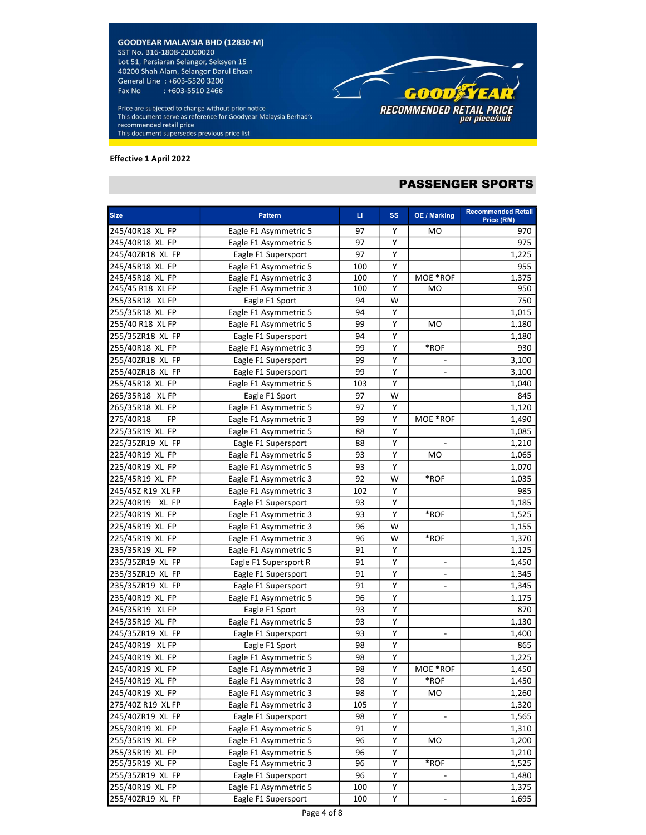Price are subjected to change without prior notice This document serve as reference for Goodyear Malaysia Berhad's recommended retail price This document supersedes previous price list

#### Effective 1 April 2022



# PASSENGER SPORTS

| <b>Size</b>       | <b>Pattern</b>        | u.  | <b>SS</b> | OE / Marking             | <b>Recommended Retail</b> |
|-------------------|-----------------------|-----|-----------|--------------------------|---------------------------|
| 245/40R18 XL FP   | Eagle F1 Asymmetric 5 | 97  | Y         | MO                       | Price (RM)<br>970         |
| 245/40R18 XL FP   | Eagle F1 Asymmetric 5 | 97  | Υ         |                          | 975                       |
| 245/40ZR18 XL FP  | Eagle F1 Supersport   | 97  | Υ         |                          | 1,225                     |
| 245/45R18 XL FP   | Eagle F1 Asymmetric 5 | 100 | Υ         |                          | 955                       |
| 245/45R18 XL FP   | Eagle F1 Asymmetric 3 | 100 | Υ         | MOE *ROF                 | 1,375                     |
| 245/45 R18 XL FP  | Eagle F1 Asymmetric 3 | 100 | Y         | MO                       | 950                       |
| 255/35R18 XL FP   | Eagle F1 Sport        | 94  | W         |                          | 750                       |
| 255/35R18 XL FP   | Eagle F1 Asymmetric 5 | 94  | Υ         |                          | 1,015                     |
| 255/40 R18 XL FP  | Eagle F1 Asymmetric 5 | 99  | Υ         | <b>MO</b>                | 1,180                     |
| 255/35ZR18 XL FP  | Eagle F1 Supersport   | 94  | Υ         |                          | 1,180                     |
| 255/40R18 XL FP   | Eagle F1 Asymmetric 3 | 99  | Υ         | *ROF                     | 930                       |
| 255/40ZR18 XL FP  | Eagle F1 Supersport   | 99  | Υ         |                          | 3,100                     |
| 255/40ZR18 XL FP  | Eagle F1 Supersport   | 99  | Υ         | ٠                        | 3,100                     |
| 255/45R18 XL FP   | Eagle F1 Asymmetric 5 | 103 | Υ         |                          | 1,040                     |
| 265/35R18 XL FP   | Eagle F1 Sport        | 97  | W         |                          | 845                       |
| 265/35R18 XL FP   | Eagle F1 Asymmetric 5 | 97  | Υ         |                          | 1,120                     |
| 275/40R18<br>FP   | Eagle F1 Asymmetric 3 | 99  | Υ         | MOE *ROF                 | 1,490                     |
| 225/35R19 XL FP   | Eagle F1 Asymmetric 5 | 88  | Υ         |                          | 1,085                     |
| 225/35ZR19 XL FP  | Eagle F1 Supersport   | 88  | Υ         | $\overline{\phantom{a}}$ | 1,210                     |
| 225/40R19 XL FP   | Eagle F1 Asymmetric 5 | 93  | Υ         | MO                       | 1,065                     |
| 225/40R19 XL FP   | Eagle F1 Asymmetric 5 | 93  | Υ         |                          | 1,070                     |
| 225/45R19 XL FP   | Eagle F1 Asymmetric 3 | 92  | W         | *ROF                     | 1,035                     |
| 245/45Z R19 XL FP | Eagle F1 Asymmetric 3 | 102 | Υ         |                          | 985                       |
| 225/40R19 XL FP   | Eagle F1 Supersport   | 93  | Υ         |                          | 1,185                     |
| 225/40R19 XL FP   | Eagle F1 Asymmetric 3 | 93  | Υ         | $\boldsymbol{*}$ ROF     | 1,525                     |
| 225/45R19 XL FP   | Eagle F1 Asymmetric 3 | 96  | W         |                          | 1,155                     |
| 225/45R19 XL FP   | Eagle F1 Asymmetric 3 | 96  | W         | *ROF                     | 1,370                     |
| 235/35R19 XL FP   | Eagle F1 Asymmetric 5 | 91  | Υ         |                          | 1,125                     |
| 235/35ZR19 XL FP  | Eagle F1 Supersport R | 91  | Υ         | $\overline{\phantom{0}}$ | 1,450                     |
| 235/35ZR19 XL FP  | Eagle F1 Supersport   | 91  | Υ         | ٠                        | 1,345                     |
| 235/35ZR19 XL FP  | Eagle F1 Supersport   | 91  | Υ         |                          | 1,345                     |
| 235/40R19 XL FP   | Eagle F1 Asymmetric 5 | 96  | Y         |                          | 1,175                     |
| 245/35R19 XL FP   | Eagle F1 Sport        | 93  | Υ         |                          | 870                       |
| 245/35R19 XL FP   | Eagle F1 Asymmetric 5 | 93  | Υ         |                          | 1,130                     |
| 245/35ZR19 XL FP  | Eagle F1 Supersport   | 93  | Υ         | $\overline{\phantom{m}}$ | 1,400                     |
| 245/40R19 XL FP   | Eagle F1 Sport        | 98  | Υ         |                          | 865                       |
| 245/40R19 XL FP   | Eagle F1 Asymmetric 5 | 98  | Υ         |                          | 1,225                     |
| 245/40R19 XL FP   | Eagle F1 Asymmetric 3 | 98  | Y         | MOE *ROF                 | 1,450                     |
| 245/40R19 XL FP   | Eagle F1 Asymmetric 3 | 98  | Υ         | *ROF                     | 1,450                     |
| 245/40R19 XL FP   | Eagle F1 Asymmetric 3 | 98  | Υ         | MO                       | 1,260                     |
| 275/40Z R19 XL FP | Eagle F1 Asymmetric 3 | 105 | Υ         |                          | 1,320                     |
| 245/40ZR19 XL FP  | Eagle F1 Supersport   | 98  | Υ         | ÷.                       | 1,565                     |
| 255/30R19 XL FP   | Eagle F1 Asymmetric 5 | 91  | Υ         |                          | 1,310                     |
| 255/35R19 XL FP   | Eagle F1 Asymmetric 5 | 96  | Υ         | MO.                      | 1,200                     |
| 255/35R19 XL FP   | Eagle F1 Asymmetric 5 | 96  | Υ         |                          | 1,210                     |
| 255/35R19 XL FP   | Eagle F1 Asymmetric 3 | 96  | Υ         | *ROF                     | 1,525                     |
| 255/35ZR19 XL FP  | Eagle F1 Supersport   | 96  | Υ         |                          | 1,480                     |
| 255/40R19 XL FP   | Eagle F1 Asymmetric 5 | 100 | Υ         |                          | 1,375                     |
| 255/40ZR19 XL FP  | Eagle F1 Supersport   | 100 | Υ         | $\overline{\phantom{0}}$ | 1,695                     |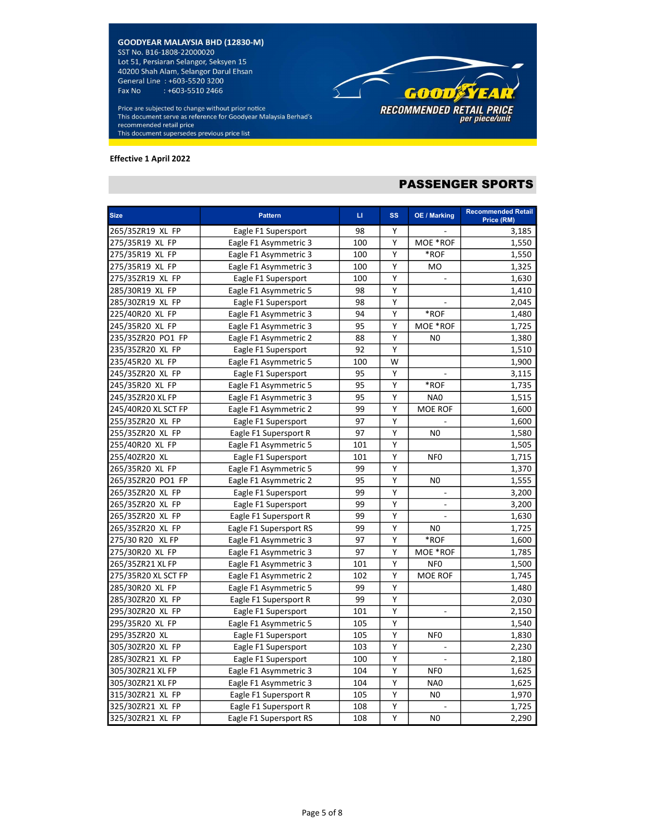Price are subjected to change without prior notice This document serve as reference for Goodyear Malaysia Berhad's recommended retail price This document supersedes previous price list

#### Effective 1 April 2022



# PASSENGER SPORTS

| <b>Size</b>         | <b>Pattern</b>         | LI. | <b>SS</b>               | <b>OE / Marking</b>      | <b>Recommended Retail</b><br>Price (RM) |
|---------------------|------------------------|-----|-------------------------|--------------------------|-----------------------------------------|
| 265/35ZR19 XL FP    | Eagle F1 Supersport    | 98  | Y                       |                          | 3,185                                   |
| 275/35R19 XL FP     | Eagle F1 Asymmetric 3  | 100 | Y                       | MOE *ROF                 | 1,550                                   |
| 275/35R19 XL FP     | Eagle F1 Asymmetric 3  | 100 | Υ                       | *ROF                     | 1,550                                   |
| 275/35R19 XL FP     | Eagle F1 Asymmetric 3  | 100 | Υ                       | <b>MO</b>                | 1,325                                   |
| 275/35ZR19 XL FP    | Eagle F1 Supersport    | 100 | Υ                       |                          | 1,630                                   |
| 285/30R19 XL FP     | Eagle F1 Asymmetric 5  | 98  | $\overline{\mathsf{Y}}$ |                          | 1,410                                   |
| 285/30ZR19 XL FP    | Eagle F1 Supersport    | 98  | $\overline{\mathsf{Y}}$ |                          | 2,045                                   |
| 225/40R20 XL FP     | Eagle F1 Asymmetric 3  | 94  | Υ                       | $\boldsymbol{*}$ ROF     | 1,480                                   |
| 245/35R20 XL FP     | Eagle F1 Asymmetric 3  | 95  | Υ                       | MOE *ROF                 | 1,725                                   |
| 235/35ZR20 PO1 FP   | Eagle F1 Asymmetric 2  | 88  | Υ                       | N <sub>0</sub>           | 1,380                                   |
| 235/35ZR20 XL FP    | Eagle F1 Supersport    | 92  | Υ                       |                          | 1,510                                   |
| 235/45R20 XL FP     | Eagle F1 Asymmetric 5  | 100 | W                       |                          | 1,900                                   |
| 245/35ZR20 XL FP    | Eagle F1 Supersport    | 95  | Υ                       | $\overline{\phantom{a}}$ | 3,115                                   |
| 245/35R20 XL FP     | Eagle F1 Asymmetric 5  | 95  | Υ                       | $*ROF$                   | 1,735                                   |
| 245/35ZR20 XL FP    | Eagle F1 Asymmetric 3  | 95  | Υ                       | NA <sub>0</sub>          | 1,515                                   |
| 245/40R20 XL SCT FP | Eagle F1 Asymmetric 2  | 99  | Υ                       | <b>MOE ROF</b>           | 1,600                                   |
| 255/35ZR20 XL FP    | Eagle F1 Supersport    | 97  | Υ                       |                          | 1,600                                   |
| 255/35ZR20 XL FP    | Eagle F1 Supersport R  | 97  | Υ                       | N <sub>0</sub>           | 1,580                                   |
| 255/40R20 XL FP     | Eagle F1 Asymmetric 5  | 101 | Υ                       |                          | 1,505                                   |
| 255/40ZR20 XL       | Eagle F1 Supersport    | 101 | $\overline{\mathsf{Y}}$ | NF <sub>0</sub>          | 1,715                                   |
| 265/35R20 XL FP     | Eagle F1 Asymmetric 5  | 99  | Υ                       |                          | 1,370                                   |
| 265/35ZR20 PO1 FP   | Eagle F1 Asymmetric 2  | 95  | Υ                       | N <sub>0</sub>           | 1,555                                   |
| 265/35ZR20 XL FP    | Eagle F1 Supersport    | 99  | Υ                       | $\overline{a}$           | 3,200                                   |
| 265/35ZR20 XL FP    | Eagle F1 Supersport    | 99  | Υ                       | $\overline{\phantom{a}}$ | 3,200                                   |
| 265/35ZR20 XL FP    | Eagle F1 Supersport R  | 99  | Υ                       |                          | 1,630                                   |
| 265/35ZR20 XL FP    | Eagle F1 Supersport RS | 99  | Υ                       | N <sub>0</sub>           | 1,725                                   |
| 275/30 R20 XL FP    | Eagle F1 Asymmetric 3  | 97  | Υ                       | *ROF                     | 1,600                                   |
| 275/30R20 XL FP     | Eagle F1 Asymmetric 3  | 97  | Υ                       | MOE *ROF                 | 1,785                                   |
| 265/35ZR21 XL FP    | Eagle F1 Asymmetric 3  | 101 | Υ                       | <b>NFO</b>               | 1,500                                   |
| 275/35R20 XL SCT FP | Eagle F1 Asymmetric 2  | 102 | Υ                       | <b>MOE ROF</b>           | 1,745                                   |
| 285/30R20 XL FP     | Eagle F1 Asymmetric 5  | 99  | Υ                       |                          | 1,480                                   |
| 285/30ZR20 XL FP    | Eagle F1 Supersport R  | 99  | Υ                       |                          | 2,030                                   |
| 295/30ZR20 XL FP    | Eagle F1 Supersport    | 101 | $\overline{Y}$          |                          | 2,150                                   |
| 295/35R20 XL FP     | Eagle F1 Asymmetric 5  | 105 | $\overline{Y}$          |                          | 1,540                                   |
| 295/35ZR20 XL       | Eagle F1 Supersport    | 105 | Υ                       | NF <sub>0</sub>          | 1,830                                   |
| 305/30ZR20 XL FP    | Eagle F1 Supersport    | 103 | $\overline{Y}$          |                          | 2,230                                   |
| 285/30ZR21 XL FP    | Eagle F1 Supersport    | 100 | Υ                       | $\mathbb{Z}^2$           | 2,180                                   |
| 305/30ZR21 XL FP    | Eagle F1 Asymmetric 3  | 104 | Υ                       | NF <sub>0</sub>          | 1,625                                   |
| 305/30ZR21 XL FP    | Eagle F1 Asymmetric 3  | 104 | Υ                       | NA0                      | 1,625                                   |
| 315/30ZR21 XL FP    | Eagle F1 Supersport R  | 105 | Υ                       | N <sub>0</sub>           | 1,970                                   |
| 325/30ZR21 XL FP    | Eagle F1 Supersport R  | 108 | Υ                       |                          | 1,725                                   |
| 325/30ZR21 XL FP    | Eagle F1 Supersport RS | 108 | Y                       | N <sub>0</sub>           | 2,290                                   |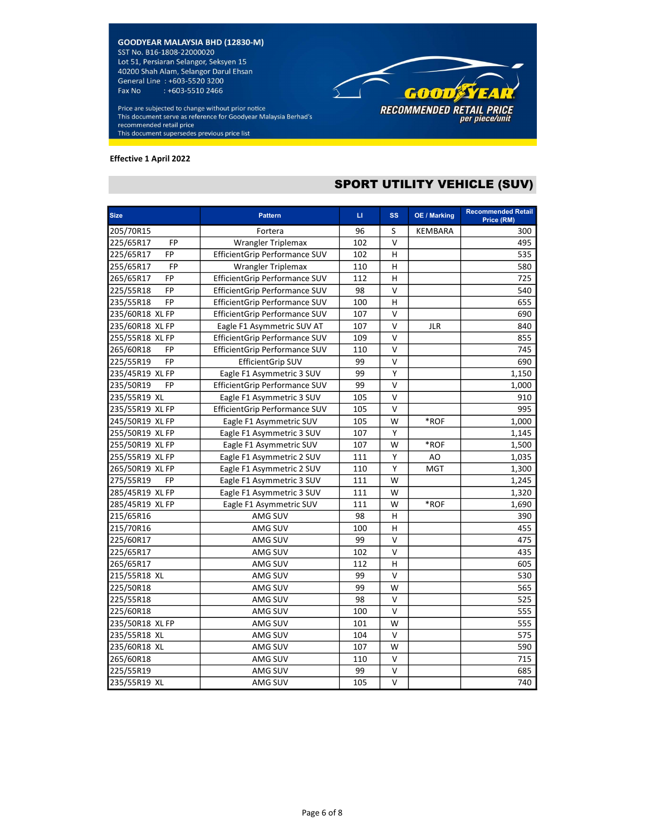Price are subjected to change without prior notice This document serve as reference for Goodyear Malaysia Berhad's recommended retail price This document supersedes previous price list

#### Effective 1 April 2022

# SPORT UTILITY VEHICLE (SUV)

**GOOD STEAT** 

RECOMMENDED RETAIL PRICE<br>per piece/unit

| <b>Size</b>            | <b>Pattern</b>                | Ц   | <b>SS</b> | <b>OE / Marking</b> | <b>Recommended Retail</b><br>Price (RM) |
|------------------------|-------------------------------|-----|-----------|---------------------|-----------------------------------------|
| 205/70R15              | Fortera                       | 96  | S         | <b>KEMBARA</b>      | 300                                     |
| 225/65R17<br><b>FP</b> | <b>Wrangler Triplemax</b>     | 102 | v         |                     | 495                                     |
| 225/65R17<br>FP        | EfficientGrip Performance SUV | 102 | н         |                     | 535                                     |
| 255/65R17<br><b>FP</b> | Wrangler Triplemax            | 110 | H         |                     | 580                                     |
| FP<br>265/65R17        | EfficientGrip Performance SUV | 112 | H         |                     | 725                                     |
| 225/55R18<br><b>FP</b> | EfficientGrip Performance SUV | 98  | $\vee$    |                     | 540                                     |
| 235/55R18<br><b>FP</b> | EfficientGrip Performance SUV | 100 | н         |                     | 655                                     |
| 235/60R18 XL FP        | EfficientGrip Performance SUV | 107 | v         |                     | 690                                     |
| 235/60R18 XL FP        | Eagle F1 Asymmetric SUV AT    | 107 | v         | <b>JLR</b>          | 840                                     |
| 255/55R18 XL FP        | EfficientGrip Performance SUV | 109 | V         |                     | 855                                     |
| FP<br>265/60R18        | EfficientGrip Performance SUV | 110 | v         |                     | 745                                     |
| 225/55R19<br>FP        | <b>EfficientGrip SUV</b>      | 99  | v         |                     | 690                                     |
| 235/45R19 XL FP        | Eagle F1 Asymmetric 3 SUV     | 99  | Υ         |                     | 1,150                                   |
| 235/50R19<br><b>FP</b> | EfficientGrip Performance SUV | 99  | V         |                     | 1,000                                   |
| 235/55R19 XL           | Eagle F1 Asymmetric 3 SUV     | 105 | v         |                     | 910                                     |
| 235/55R19 XL FP        | EfficientGrip Performance SUV | 105 | V         |                     | 995                                     |
| 245/50R19 XL FP        | Eagle F1 Asymmetric SUV       | 105 | W         | *ROF                | 1,000                                   |
| 255/50R19 XL FP        | Eagle F1 Asymmetric 3 SUV     | 107 | Υ         |                     | 1,145                                   |
| 255/50R19 XL FP        | Eagle F1 Asymmetric SUV       | 107 | W         | *ROF                | 1,500                                   |
| 255/55R19 XL FP        | Eagle F1 Asymmetric 2 SUV     | 111 | Υ         | AO                  | 1,035                                   |
| 265/50R19 XL FP        | Eagle F1 Asymmetric 2 SUV     | 110 | Υ         | <b>MGT</b>          | 1,300                                   |
| 275/55R19<br>FP        | Eagle F1 Asymmetric 3 SUV     | 111 | W         |                     | 1,245                                   |
| 285/45R19 XL FP        | Eagle F1 Asymmetric 3 SUV     | 111 | W         |                     | 1,320                                   |
| 285/45R19 XL FP        | Eagle F1 Asymmetric SUV       | 111 | W         | $*ROF$              | 1,690                                   |
| 215/65R16              | AMG SUV                       | 98  | Н         |                     | 390                                     |
| 215/70R16              | AMG SUV                       | 100 | н         |                     | 455                                     |
| 225/60R17              | AMG SUV                       | 99  | V         |                     | 475                                     |
| 225/65R17              | AMG SUV                       | 102 | V         |                     | 435                                     |
| 265/65R17              | AMG SUV                       | 112 | H         |                     | 605                                     |
| 215/55R18 XL           | AMG SUV                       | 99  | $\vee$    |                     | 530                                     |
| 225/50R18              | AMG SUV                       | 99  | W         |                     | 565                                     |
| 225/55R18              | AMG SUV                       | 98  | V         |                     | 525                                     |
| 225/60R18              | AMG SUV                       | 100 | v         |                     | 555                                     |
| 235/50R18 XL FP        | AMG SUV                       | 101 | W         |                     | 555                                     |
| 235/55R18 XL           | AMG SUV                       | 104 | $\vee$    |                     | 575                                     |
| 235/60R18 XL           | AMG SUV                       | 107 | W         |                     | 590                                     |
| 265/60R18              | AMG SUV                       | 110 | V         |                     | 715                                     |
| 225/55R19              | AMG SUV                       | 99  | V         |                     | 685                                     |
| 235/55R19 XL           | AMG SUV                       | 105 | $\vee$    |                     | 740                                     |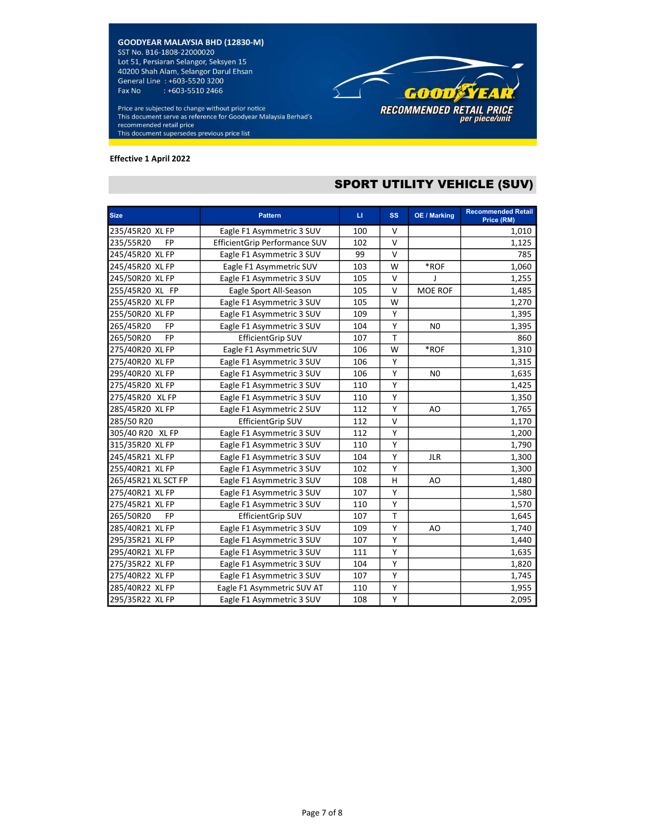Price are subjected to change without prior notice This document serve as reference for Goodyear Malaysia Berhad's recommended retail price This document supersedes previous price list

#### Effective 1 April 2022

# SPORT UTILITY VEHICLE (SUV)

GOOD STEAR

RECOMMENDED RETAIL PRICE<br>per piece/unit

| <b>Size</b>            | <b>Pattern</b>                | $\mathbf{H}$ | <b>SS</b> | OE / Marking   | <b>Recommended Retail</b> |
|------------------------|-------------------------------|--------------|-----------|----------------|---------------------------|
|                        |                               |              |           |                | Price (RM)                |
| 235/45R20 XL FP        | Eagle F1 Asymmetric 3 SUV     | 100          | v         |                | 1,010                     |
| 235/55R20<br><b>FP</b> | EfficientGrip Performance SUV | 102          | v         |                | 1,125                     |
| 245/45R20 XL FP        | Eagle F1 Asymmetric 3 SUV     | 99           | v         |                | 785                       |
| 245/45R20 XL FP        | Eagle F1 Asymmetric SUV       | 103          | W         | $*ROF$         | 1,060                     |
| 245/50R20 XL FP        | Eagle F1 Asymmetric 3 SUV     | 105          | $\vee$    | J              | 1,255                     |
| 255/45R20 XL FP        | Eagle Sport All-Season        | 105          | $\vee$    | MOE ROF        | 1,485                     |
| 255/45R20 XL FP        | Eagle F1 Asymmetric 3 SUV     | 105          | W         |                | 1,270                     |
| 255/50R20 XL FP        | Eagle F1 Asymmetric 3 SUV     | 109          | Y         |                | 1,395                     |
| 265/45R20<br><b>FP</b> | Eagle F1 Asymmetric 3 SUV     | 104          | Y         | N <sub>0</sub> | 1,395                     |
| <b>FP</b><br>265/50R20 | <b>EfficientGrip SUV</b>      | 107          | T         |                | 860                       |
| 275/40R20 XL FP        | Eagle F1 Asymmetric SUV       | 106          | W         | *ROF           | 1,310                     |
| 275/40R20 XL FP        | Eagle F1 Asymmetric 3 SUV     | 106          | Υ         |                | 1,315                     |
| 295/40R20 XL FP        | Eagle F1 Asymmetric 3 SUV     | 106          | Υ         | N <sub>0</sub> | 1,635                     |
| 275/45R20 XL FP        | Eagle F1 Asymmetric 3 SUV     | 110          | Υ         |                | 1,425                     |
| 275/45R20 XL FP        | Eagle F1 Asymmetric 3 SUV     | 110          | Υ         |                | 1,350                     |
| 285/45R20 XL FP        | Eagle F1 Asymmetric 2 SUV     | 112          | Υ         | AO             | 1,765                     |
| 285/50 R20             | <b>EfficientGrip SUV</b>      | 112          | $\vee$    |                | 1,170                     |
| 305/40 R20 XL FP       | Eagle F1 Asymmetric 3 SUV     | 112          | Y         |                | 1,200                     |
| 315/35R20 XL FP        | Eagle F1 Asymmetric 3 SUV     | 110          | Y         |                | 1,790                     |
| 245/45R21 XL FP        | Eagle F1 Asymmetric 3 SUV     | 104          | Υ         | <b>JLR</b>     | 1,300                     |
| 255/40R21 XL FP        | Eagle F1 Asymmetric 3 SUV     | 102          | Υ         |                | 1,300                     |
| 265/45R21 XL SCT FP    | Eagle F1 Asymmetric 3 SUV     | 108          | н         | AO             | 1,480                     |
| 275/40R21 XL FP        | Eagle F1 Asymmetric 3 SUV     | 107          | Υ         |                | 1,580                     |
| 275/45R21 XL FP        | Eagle F1 Asymmetric 3 SUV     | 110          | Υ         |                | 1,570                     |
| 265/50R20<br><b>FP</b> | <b>EfficientGrip SUV</b>      | 107          | T         |                | 1,645                     |
| 285/40R21 XL FP        | Eagle F1 Asymmetric 3 SUV     | 109          | Y         | AO             | 1,740                     |
| 295/35R21 XL FP        | Eagle F1 Asymmetric 3 SUV     | 107          | Υ         |                | 1,440                     |
| 295/40R21 XL FP        | Eagle F1 Asymmetric 3 SUV     | 111          | Υ         |                | 1,635                     |
| 275/35R22 XL FP        | Eagle F1 Asymmetric 3 SUV     | 104          | Y         |                | 1,820                     |
| 275/40R22 XL FP        | Eagle F1 Asymmetric 3 SUV     | 107          | Υ         |                | 1,745                     |
| 285/40R22 XL FP        | Eagle F1 Asymmetric SUV AT    | 110          | Υ         |                | 1,955                     |
| 295/35R22 XL FP        | Eagle F1 Asymmetric 3 SUV     | 108          | Υ         |                | 2,095                     |